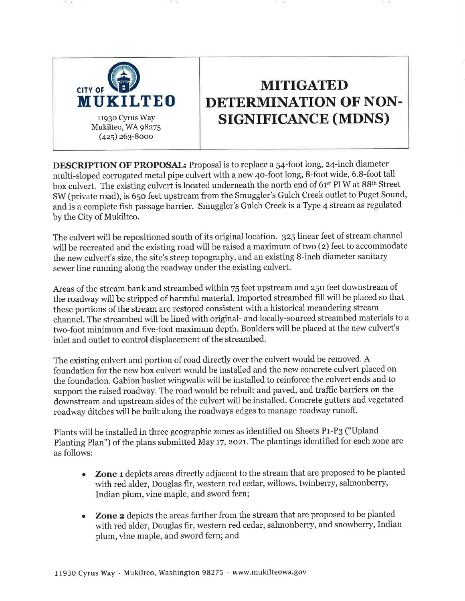

# **MITIGATED** DETERMINATION OF NON-**SIGNIFICANCE (MDNS)**

**DESCRIPTION OF PROPOSAL:** Proposal is to replace a 54-foot long, 24-inch diameter multi-sloped corrugated metal pipe culvert with a new 40-foot long, 8-foot wide, 6.8-foot tall box culvert. The existing culvert is located underneath the north end of 61<sup>st</sup> Pl W at 88<sup>th</sup> Street SW (private road), is 650 feet upstream from the Smuggler's Gulch Creek outlet to Puget Sound, and is a complete fish passage barrier. Smuggler's Gulch Creek is a Type 4 stream as regulated by the City of Mukilteo.

The culvert will be repositioned south of its original location. 325 linear feet of stream channel will be recreated and the existing road will be raised a maximum of two (2) feet to accommodate the new culvert's size, the site's steep topography, and an existing 8-inch diameter sanitary sewer line running along the roadway under the existing culvert.

Areas of the stream bank and streambed within 75 feet upstream and 250 feet downstream of the roadway will be stripped of harmful material. Imported streambed fill will be placed so that these portions of the stream are restored consistent with a historical meandering stream channel. The streambed will be lined with original- and locally-sourced streambed materials to a two-foot minimum and five-foot maximum depth. Boulders will be placed at the new culvert's inlet and outlet to control displacement of the streambed.

The existing culvert and portion of road directly over the culvert would be removed. A foundation for the new box culvert would be installed and the new concrete culvert placed on the foundation. Gabion basket wingwalls will be installed to reinforce the culvert ends and to support the raised roadway. The road would be rebuilt and paved, and traffic barriers on the downstream and upstream sides of the culvert will be installed. Concrete gutters and vegetated roadway ditches will be built along the roadways edges to manage roadway runoff.

Plants will be installed in three geographic zones as identified on Sheets P1-P3 ("Upland Planting Plan") of the plans submitted May 17, 2021. The plantings identified for each zone are as follows:

- **Zone 1** depicts areas directly adjacent to the stream that are proposed to be planted  $\bullet$ with red alder, Douglas fir, western red cedar, willows, twinberry, salmonberry, Indian plum, vine maple, and sword fern;
- Zone 2 depicts the areas farther from the stream that are proposed to be planted with red alder, Douglas fir, western red cedar, salmonberry, and snowberry, Indian plum, vine maple, and sword fern; and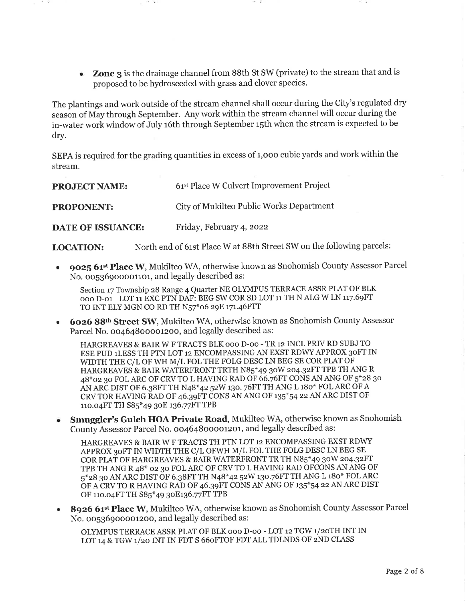**Zone 3** is the drainage channel from 88th St SW (private) to the stream that and is  $\bullet$ proposed to be hydroseeded with grass and clover species.

The plantings and work outside of the stream channel shall occur during the City's regulated dry season of May through September. Any work within the stream channel will occur during the in-water work window of July 16th through September 15th when the stream is expected to be dry.

SEPA is required for the grading quantities in excess of 1,000 cubic yards and work within the stream.

| <b>PROJECT NAME:</b>     | 61 <sup>st</sup> Place W Culvert Improvement Project |
|--------------------------|------------------------------------------------------|
| <b>PROPONENT:</b>        | City of Mukilteo Public Works Department             |
| <b>DATE OF ISSUANCE:</b> | Friday, February 4, 2022                             |

North end of 61st Place W at 88th Street SW on the following parcels: **LOCATION:** 

9025 61st Place W, Mukilteo WA, otherwise known as Snohomish County Assessor Parcel No. 00536900001101, and legally described as:

Section 17 Township 28 Range 4 Quarter NE OLYMPUS TERRACE ASSR PLAT OF BLK 000 D-01 - LOT 11 EXC PTN DAF: BEG SW COR SD LOT 11 TH N ALG W LN 117.69FT TO INT ELY MGN CO RD TH N57\*06 29E 171.46FTT

6026 88th Street SW, Mukilteo WA, otherwise known as Snohomish County Assessor Parcel No. 00464800001200, and legally described as:

HARGREAVES & BAIR W F TRACTS BLK 000 D-00 - TR 12 INCL PRIV RD SUBJ TO ESE PUD 1LESS TH PTN LOT 12 ENCOMPASSING AN EXST RDWY APPROX 30FT IN WIDTH THE C/L OF WH M/L FOL THE FOLG DESC LN BEG SE COR PLAT OF HARGREAVES & BAIR WATERFRONT TRTH N85\*49 30W 204.32FT TPB TH ANG R 48\*02 30 FOL ARC OF CRV TO L HAVING RAD OF 66.76FT CONS AN ANG OF 5\*28 30 AN ARC DIST OF 6.38FT TH N48\*42 52W 130. 76FT TH ANG L 180\* FOL ARC OF A CRV TOR HAVING RAD OF 46.39FT CONS AN ANG OF 135\*54 22 AN ARC DIST OF 110.04FT TH S85\*49 30E 136.77FT TPB

• Smuggler's Gulch HOA Private Road, Mukilteo WA, otherwise known as Snohomish County Assessor Parcel No. 00464800001201, and legally described as:

HARGREAVES & BAIR W F TRACTS TH PTN LOT 12 ENCOMPASSING EXST RDWY APPROX 30FT IN WIDTH THE C/L OFWH M/L FOL THE FOLG DESC LN BEG SE COR PLAT OF HARGREAVES & BAIR WATERFRONT TR TH N85\*49 30W 204.32FT TPB TH ANG R 48\* 02 30 FOL ARC OF CRV TO L HAVING RAD OFCONS AN ANG OF 5\*28 30 AN ARC DIST OF 6.38FT TH N48\*42 52W 130.76FT TH ANG L 180\* FOL ARC OF A CRV TO R HAVING RAD OF 46.39FT CONS AN ANG OF 135\*54 22 AN ARC DIST OF 110.04FT TH S85\*49 30E136.77FT TPB

8926 61st Place W, Mukilteo WA, otherwise known as Snohomish County Assessor Parcel No. 00536900001200, and legally described as:

OLYMPUS TERRACE ASSR PLAT OF BLK 000 D-00 - LOT 12 TGW 1/20TH INT IN LOT 14 & TGW 1/20 INT IN FDT S 660FTOF FDT ALL TDLNDS OF 2ND CLASS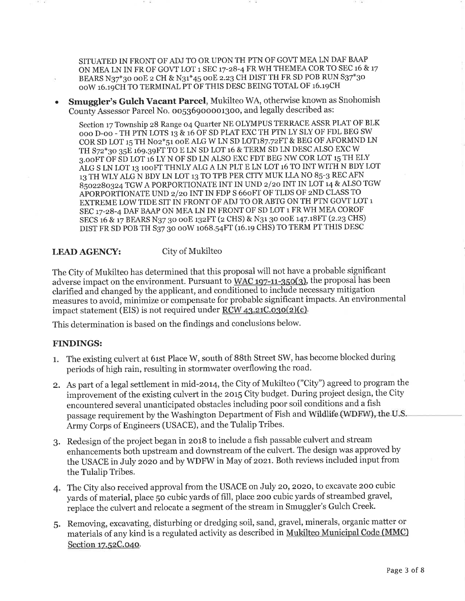SITUATED IN FRONT OF ADJ TO OR UPON TH PTN OF GOVT MEA LN DAF BAAP ON MEA LN IN FR OF GOVT LOT 1 SEC 17-28-4 FR WH THEMEA COR TO SEC 16 & 17 BEARS N37\*30 00E 2 CH & N31\*45 00E 2.23 CH DIST TH FR SD POB RUN S37\*30 OOW 16.19CH TO TERMINAL PT OF THIS DESC BEING TOTAL OF 16.19CH

Smuggler's Gulch Vacant Parcel, Mukilteo WA, otherwise known as Snohomish County Assessor Parcel No. 00536900001300, and legally described as:

Section 17 Township 28 Range 04 Quarter NE OLYMPUS TERRACE ASSR PLAT OF BLK 000 D-00 - TH PTN LOTS 13 & 16 OF SD PLAT EXC TH PTN LY SLY OF FDL BEG SW COR SD LOT 15 TH N02\*51 00E ALG W LN SD LOT187.72FT & BEG OF AFORMND LN TH S72\*30 35E 169.39FT TO E LN SD LOT 16 & TERM SD LN DESC ALSO EXC W 3.00FT OF SD LOT 16 LY N OF SD LN ALSO EXC FDT BEG NW COR LOT 15 TH ELY ALG S LN LOT 13 100FT THNLY ALG A LN PLT E LN LOT 16 TO INT WITH N BDY LOT 13 TH WLY ALG N BDY LN LOT 13 TO TPB PER CITY MUK LLA NO 85-3 REC AFN 8502280324 TGW A PORPORTIONATE INT IN UND 2/20 INT IN LOT 14 & ALSO TGW APORPORTIONATE UND 2/20 INT IN FDP S 660FT OF TLDS OF 2ND CLASS TO EXTREME LOW TIDE SIT IN FRONT OF ADJ TO OR ABTG ON TH PTN GOVT LOT 1 SEC 17-28-4 DAF BAAP ON MEA LN IN FRONT OF SD LOT 1 FR WH MEA COROF SECS 16 & 17 BEARS N37 30 00E 132FT (2 CHS) & N31 30 00E 147.18FT (2.23 CHS) DIST FR SD POB TH S37 30 00W 1068.54FT (16.19 CHS) TO TERM PT THIS DESC

#### City of Mukilteo **LEAD AGENCY:**

The City of Mukilteo has determined that this proposal will not have a probable significant adverse impact on the environment. Pursuant to WAC 197-11-350(3), the proposal has been clarified and changed by the applicant, and conditioned to include necessary mitigation measures to avoid, minimize or compensate for probable significant impacts. An environmental impact statement (EIS) is not required under RCW 43.21C.030(2)(c).

This determination is based on the findings and conclusions below.

# **FINDINGS:**

- 1. The existing culvert at 61st Place W, south of 88th Street SW, has become blocked during periods of high rain, resulting in stormwater overflowing the road.
- 2. As part of a legal settlement in mid-2014, the City of Mukilteo ("City") agreed to program the improvement of the existing culvert in the 2015 City budget. During project design, the City encountered several unanticipated obstacles including poor soil conditions and a fish passage requirement by the Washington Department of Fish and Wildlife (WDFW), the U.S. Army Corps of Engineers (USACE), and the Tulalip Tribes.
- 3. Redesign of the project began in 2018 to include a fish passable culvert and stream enhancements both upstream and downstream of the culvert. The design was approved by the USACE in July 2020 and by WDFW in May of 2021. Both reviews included input from the Tulalip Tribes.
- 4. The City also received approval from the USACE on July 20, 2020, to excavate 200 cubic yards of material, place 50 cubic yards of fill, place 200 cubic yards of streambed gravel, replace the culvert and relocate a segment of the stream in Smuggler's Gulch Creek.
- 5. Removing, excavating, disturbing or dredging soil, sand, gravel, minerals, organic matter or materials of any kind is a regulated activity as described in Mukilteo Municipal Code (MMC) Section 17.52C.040.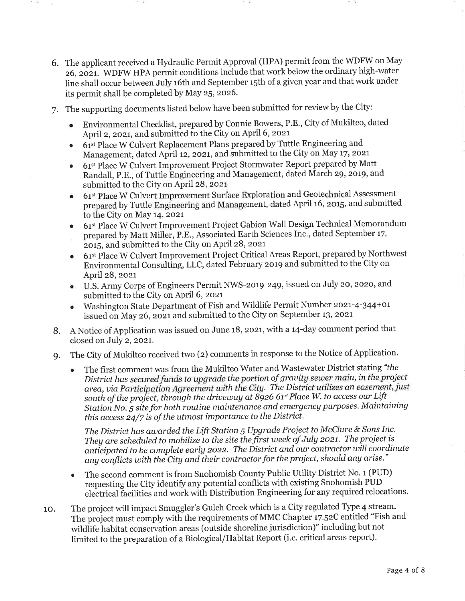- 6. The applicant received a Hydraulic Permit Approval (HPA) permit from the WDFW on May 26, 2021. WDFW HPA permit conditions include that work below the ordinary high-water line shall occur between July 16th and September 15th of a given year and that work under its permit shall be completed by May 25, 2026.
- 7. The supporting documents listed below have been submitted for review by the City:
	- Environmental Checklist, prepared by Connie Bowers, P.E., City of Mukilteo, dated April 2, 2021, and submitted to the City on April 6, 2021
	- 61<sup>st</sup> Place W Culvert Replacement Plans prepared by Tuttle Engineering and Management, dated April 12, 2021, and submitted to the City on May 17, 2021
	- 61<sup>st</sup> Place W Culvert Improvement Project Stormwater Report prepared by Matt Randall, P.E., of Tuttle Engineering and Management, dated March 29, 2019, and submitted to the City on April 28, 2021
	- 61st Place W Culvert Improvement Surface Exploration and Geotechnical Assessment prepared by Tuttle Engineering and Management, dated April 16, 2015, and submitted to the City on May 14, 2021
	- 61st Place W Culvert Improvement Project Gabion Wall Design Technical Memorandum  $\bullet$ prepared by Matt Miller, P.E., Associated Earth Sciences Inc., dated September 17, 2015, and submitted to the City on April 28, 2021
	- 61st Place W Culvert Improvement Project Critical Areas Report, prepared by Northwest Environmental Consulting, LLC, dated February 2019 and submitted to the City on April 28, 2021
	- U.S. Army Corps of Engineers Permit NWS-2019-249, issued on July 20, 2020, and submitted to the City on April 6, 2021
	- Washington State Department of Fish and Wildlife Permit Number 2021-4-344+01  $\bullet$ issued on May 26, 2021 and submitted to the City on September 13, 2021
- 8. A Notice of Application was issued on June 18, 2021, with a 14-day comment period that closed on July 2, 2021.
- The City of Mukilteo received two (2) comments in response to the Notice of Application. **g.** 
	- The first comment was from the Mukilteo Water and Wastewater District stating "the  $\bullet$ District has secured funds to upgrade the portion of gravity sewer main, in the project area, via Participation Agreement with the City. The District utilizes an easement, just south of the project, through the driveway at 8926 61<sup>st</sup> Place W. to access our Lift Station No. 5 site for both routine maintenance and emergency purposes. Maintaining this access 24/7 is of the utmost importance to the District.

The District has awarded the Lift Station 5 Upgrade Project to McClure & Sons Inc. They are scheduled to mobilize to the site the first week of July 2021. The project is anticipated to be complete early 2022. The District and our contractor will coordinate any conflicts with the City and their contractor for the project, should any arise."

- The second comment is from Snohomish County Public Utility District No. 1 (PUD) requesting the City identify any potential conflicts with existing Snohomish PUD electrical facilities and work with Distribution Engineering for any required relocations.
- The project will impact Smuggler's Gulch Creek which is a City regulated Type 4 stream. 10. The project must comply with the requirements of MMC Chapter 17.52C entitled "Fish and wildlife habitat conservation areas (outside shoreline jurisdiction)" including but not limited to the preparation of a Biological/Habitat Report (i.e. critical areas report).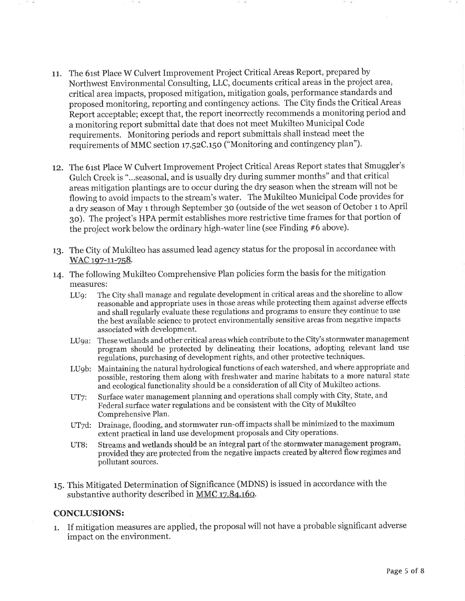- 11. The 61st Place W Culvert Improvement Project Critical Areas Report, prepared by Northwest Environmental Consulting, LLC, documents critical areas in the project area, critical area impacts, proposed mitigation, mitigation goals, performance standards and proposed monitoring, reporting and contingency actions. The City finds the Critical Areas Report acceptable: except that, the report incorrectly recommends a monitoring period and a monitoring report submittal date that does not meet Mukilteo Municipal Code requirements. Monitoring periods and report submittals shall instead meet the requirements of MMC section 17.52C.150 ("Monitoring and contingency plan").
- 12. The 61st Place W Culvert Improvement Project Critical Areas Report states that Smuggler's Gulch Creek is "...seasonal, and is usually dry during summer months" and that critical areas mitigation plantings are to occur during the dry season when the stream will not be flowing to avoid impacts to the stream's water. The Mukilteo Municipal Code provides for a dry season of May 1 through September 30 (outside of the wet season of October 1 to April 30). The project's HPA permit establishes more restrictive time frames for that portion of the project work below the ordinary high-water line (see Finding #6 above).
- 13. The City of Mukilteo has assumed lead agency status for the proposal in accordance with WAC 197-11-758.
- 14. The following Mukilteo Comprehensive Plan policies form the basis for the mitigation measures:
	- The City shall manage and regulate development in critical areas and the shoreline to allow  $LUQ$ : reasonable and appropriate uses in those areas while protecting them against adverse effects and shall regularly evaluate these regulations and programs to ensure they continue to use the best available science to protect environmentally sensitive areas from negative impacts associated with development.
	- LU9a: These wetlands and other critical areas which contribute to the City's stormwater management program should be protected by delineating their locations, adopting relevant land use regulations, purchasing of development rights, and other protective techniques.
	- Maintaining the natural hydrological functions of each watershed, and where appropriate and LU<sub>o</sub>b: possible, restoring them along with freshwater and marine habitats to a more natural state and ecological functionality should be a consideration of all City of Mukilteo actions.
	- Surface water management planning and operations shall comply with City, State, and UT7: Federal surface water regulations and be consistent with the City of Mukilteo Comprehensive Plan.
	- UT7d: Drainage, flooding, and stormwater run-off impacts shall be minimized to the maximum extent practical in land use development proposals and City operations.
	- Streams and wetlands should be an integral part of the stormwater management program, **UT8:** provided they are protected from the negative impacts created by altered flow regimes and pollutant sources.
- 15. This Mitigated Determination of Significance (MDNS) is issued in accordance with the substantive authority described in MMC 17.84.160.

# **CONCLUSIONS:**

1. If mitigation measures are applied, the proposal will not have a probable significant adverse impact on the environment.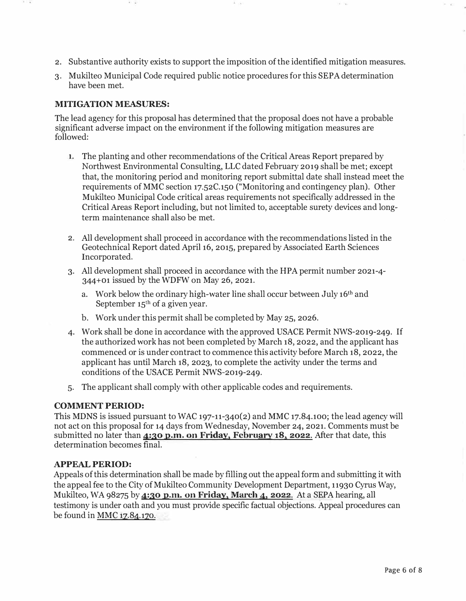- 2. Substantive authority exists to support the imposition of the identified mitigation measures.
- 3. Mukilteo Municipal Code required public notice procedures for this SEPA determination have been met.

# **MITIGATION MEASURES:**

The lead agency for this proposal has determined that the proposal does not have a probable significant adverse impact on the environment if the following mitigation measures are followed:

- 1. The planting and other recommendations of the Critical Areas Report prepared by Northwest Environmental Consulting, LLC dated February 2019 shall be met; except that, the monitoring period and monitoring report submittal date shall instead meet the requirements of MMC section 17.52C.150 ("Monitoring and contingency plan). Other Mukilteo Municipal Code critical areas requirements not specifically addressed in the Critical Areas Report including, but not limited to, acceptable surety devices and longterm maintenance shall also be met.
- 2. All development shall proceed in accordance with the recommendations listed in the Geotechnical Report dated April 16, 2015, prepared by Associated Earth Sciences Incorporated.
- 3. All development shall proceed in accordance with the HPA permit number 2021-4- 344+01 issued by the WDFW on May 26, 2021.
	- a. Work below the ordinary high-water line shall occur between July 16th and September 15<sup>th</sup> of a given year.
	- b. Work under this permit shall be completed by May 25, 2026.
- 4. Work shall be done in accordance with the approved USACE Permit NWS-2019-249. If the authorized work has not been completed by March 18, 2022, and the applicant has commenced or is under contract to commence this activity before March 18, 2022, the applicant has until March 18, 2023, to complete the activity under the terms and conditions of the USACE Permit NWS-2019-249.
- 5. The applicant shall comply with other applicable codes and requirements.

# **COMMENT PERIOD:**

This MDNS is issued pursuant to WAC 197-11-340(2) and MMC 17.84.100; the lead agency will not act on this proposal for 14 days from Wednesday, November 24, 2021. Comments must be submitted no later than  $4:30$  p.m. on Friday, February 18, 2022. After that date, this determination becomes final.

# **APPEAL PERIOD:**

Appeals of this determination shall be made by filling out the appeal form and submitting it with the appeal fee to the City of Mukilteo Community Development Department, 11930 Cyrus Way, Mukilteo, WA 98275 by 4:30 p.m. on Friday, March 4, 2022. At a SEPA hearing, all testimony is under oath and you must provide specific factual objections. Appeal procedures can be found in MMC 17.84.170.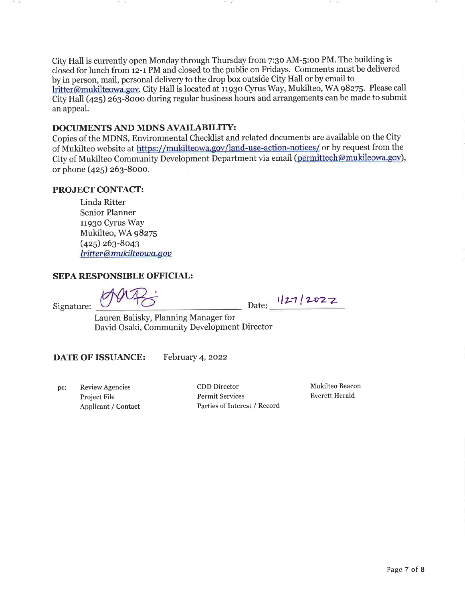City Hall is currently open Monday through Thursday from 7:30 AM-5:00 PM. The building is closed for lunch from 12-1 PM and closed to the public on Fridays. Comments must be delivered by in person, mail, personal delivery to the drop box outside City Hall or by email to lritter@mukilteowa.gov. City Hall is located at 11930 Cyrus Way, Mukilteo, WA 98275. Please call City Hall (425) 263-8000 during regular business hours and arrangements can be made to submit an appeal.

# DOCUMENTS AND MDNS AVAILABILITY:

Copies of the MDNS, Environmental Checklist and related documents are available on the City of Mukilteo website at https://mukilteowa.gov/land-use-action-notices/ or by request from the City of Mukilteo Community Development Department via email (permittech@mukileowa.gov), or phone (425) 263-8000.

# PROJECT CONTACT:

Linda Ritter **Senior Planner** 11930 Cyrus Way Mukilteo, WA 98275  $(425)$  263-8043 lritter@mukilteowa.gov

# SEPA RESPONSIBLE OFFICIAL:

Date: 1/27/2022

Lauren Balisky, Planning Manager for David Osaki, Community Development Director

DATE OF ISSUANCE: February 4, 2022

Review Agencies pc: Project File Applicant / Contact

Signature:

CDD Director Permit Services Parties of Interest / Record Mukilteo Beacon **Everett Herald**